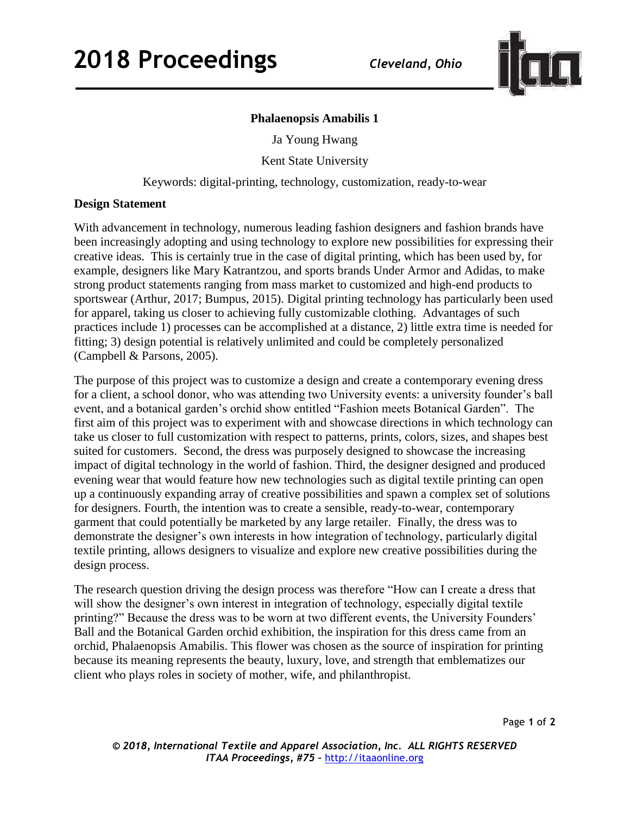

## **Phalaenopsis Amabilis 1**

Ja Young Hwang

Kent State University

Keywords: digital-printing, technology, customization, ready-to-wear

## **Design Statement**

With advancement in technology, numerous leading fashion designers and fashion brands have been increasingly adopting and using technology to explore new possibilities for expressing their creative ideas. This is certainly true in the case of digital printing, which has been used by, for example, designers like Mary Katrantzou, and sports brands Under Armor and Adidas, to make strong product statements ranging from mass market to customized and high-end products to sportswear (Arthur, 2017; Bumpus, 2015). Digital printing technology has particularly been used for apparel, taking us closer to achieving fully customizable clothing. Advantages of such practices include 1) processes can be accomplished at a distance, 2) little extra time is needed for fitting; 3) design potential is relatively unlimited and could be completely personalized (Campbell & Parsons, 2005).

The purpose of this project was to customize a design and create a contemporary evening dress for a client, a school donor, who was attending two University events: a university founder's ball event, and a botanical garden's orchid show entitled "Fashion meets Botanical Garden". The first aim of this project was to experiment with and showcase directions in which technology can take us closer to full customization with respect to patterns, prints, colors, sizes, and shapes best suited for customers. Second, the dress was purposely designed to showcase the increasing impact of digital technology in the world of fashion. Third, the designer designed and produced evening wear that would feature how new technologies such as digital textile printing can open up a continuously expanding array of creative possibilities and spawn a complex set of solutions for designers. Fourth, the intention was to create a sensible, ready-to-wear, contemporary garment that could potentially be marketed by any large retailer. Finally, the dress was to demonstrate the designer's own interests in how integration of technology, particularly digital textile printing, allows designers to visualize and explore new creative possibilities during the design process.

The research question driving the design process was therefore "How can I create a dress that will show the designer's own interest in integration of technology, especially digital textile printing?" Because the dress was to be worn at two different events, the University Founders' Ball and the Botanical Garden orchid exhibition, the inspiration for this dress came from an orchid, Phalaenopsis Amabilis. This flower was chosen as the source of inspiration for printing because its meaning represents the beauty, luxury, love, and strength that emblematizes our client who plays roles in society of mother, wife, and philanthropist.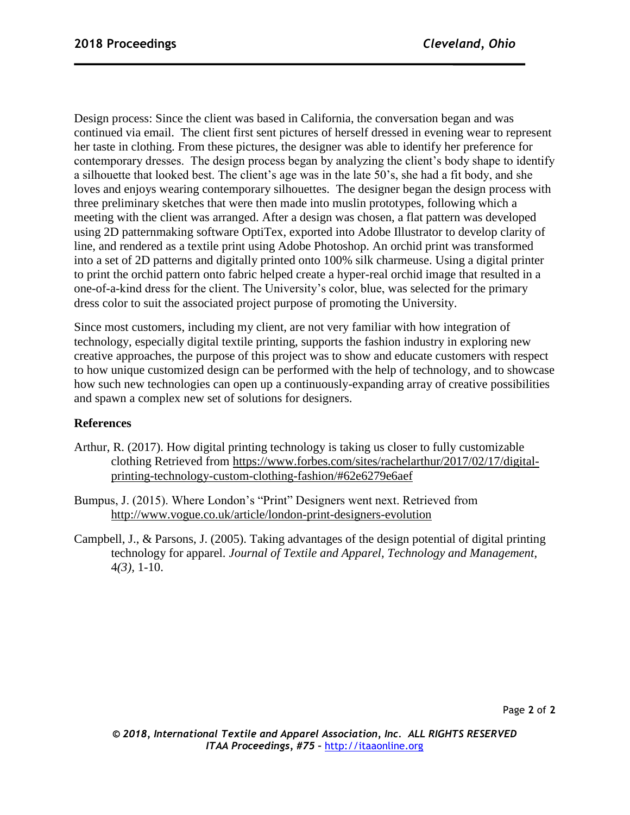Design process: Since the client was based in California, the conversation began and was continued via email. The client first sent pictures of herself dressed in evening wear to represent her taste in clothing. From these pictures, the designer was able to identify her preference for contemporary dresses. The design process began by analyzing the client's body shape to identify a silhouette that looked best. The client's age was in the late 50's, she had a fit body, and she loves and enjoys wearing contemporary silhouettes. The designer began the design process with three preliminary sketches that were then made into muslin prototypes, following which a meeting with the client was arranged. After a design was chosen, a flat pattern was developed using 2D patternmaking software OptiTex, exported into Adobe Illustrator to develop clarity of line, and rendered as a textile print using Adobe Photoshop. An orchid print was transformed into a set of 2D patterns and digitally printed onto 100% silk charmeuse. Using a digital printer to print the orchid pattern onto fabric helped create a hyper-real orchid image that resulted in a one-of-a-kind dress for the client. The University's color, blue, was selected for the primary dress color to suit the associated project purpose of promoting the University.

Since most customers, including my client, are not very familiar with how integration of technology, especially digital textile printing, supports the fashion industry in exploring new creative approaches, the purpose of this project was to show and educate customers with respect to how unique customized design can be performed with the help of technology, and to showcase how such new technologies can open up a continuously-expanding array of creative possibilities and spawn a complex new set of solutions for designers.

## **References**

- Arthur, R. (2017). How digital printing technology is taking us closer to fully customizable clothing Retrieved from [https://www.forbes.com/sites/rachelarthur/2017/02/17/digital](https://www.forbes.com/sites/rachelarthur/2017/02/17/digital-printing-technology-custom-clothing-fashion/#62e6279e6aef)[printing-technology-custom-clothing-fashion/#62e6279e6aef](https://www.forbes.com/sites/rachelarthur/2017/02/17/digital-printing-technology-custom-clothing-fashion/#62e6279e6aef)
- Bumpus, J. (2015). Where London's "Print" Designers went next. Retrieved from <http://www.vogue.co.uk/article/london-print-designers-evolution>
- Campbell, J., & Parsons, J. (2005). Taking advantages of the design potential of digital printing technology for apparel. *Journal of Textile and Apparel, Technology and Management*, 4*(3),* 1-10.